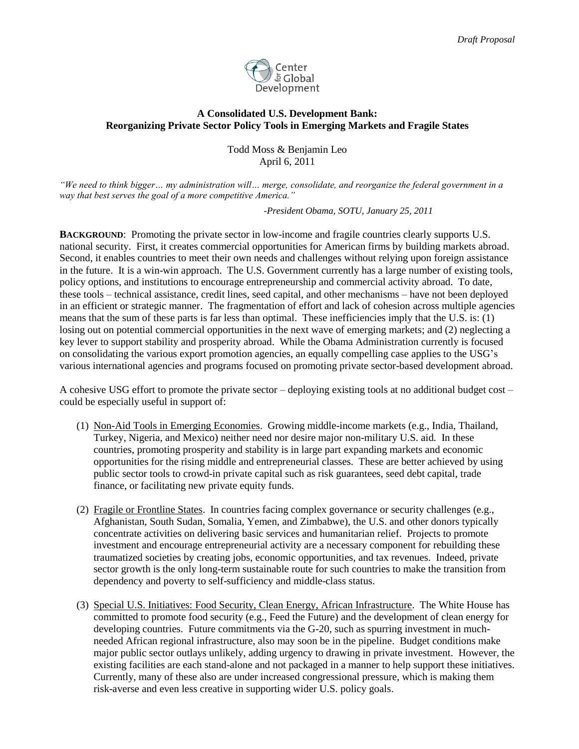

## **A Consolidated U.S. Development Bank: Reorganizing Private Sector Policy Tools in Emerging Markets and Fragile States**

Todd Moss & Benjamin Leo April 6, 2011

*"We need to think bigger… my administration will… merge, consolidate, and reorganize the federal government in a way that best serves the goal of a more competitive America."*

*-President Obama, SOTU, January 25, 2011*

**BACKGROUND**:Promoting the private sector in low-income and fragile countries clearly supports U.S. national security. First, it creates commercial opportunities for American firms by building markets abroad. Second, it enables countries to meet their own needs and challenges without relying upon foreign assistance in the future. It is a win-win approach. The U.S. Government currently has a large number of existing tools, policy options, and institutions to encourage entrepreneurship and commercial activity abroad. To date, these tools – technical assistance, credit lines, seed capital, and other mechanisms – have not been deployed in an efficient or strategic manner. The fragmentation of effort and lack of cohesion across multiple agencies means that the sum of these parts is far less than optimal. These inefficiencies imply that the U.S. is: (1) losing out on potential commercial opportunities in the next wave of emerging markets; and (2) neglecting a key lever to support stability and prosperity abroad. While the Obama Administration currently is focused on consolidating the various export promotion agencies, an equally compelling case applies to the USG's various international agencies and programs focused on promoting private sector-based development abroad.

A cohesive USG effort to promote the private sector – deploying existing tools at no additional budget cost – could be especially useful in support of:

- (1) Non-Aid Tools in Emerging Economies. Growing middle-income markets (e.g., India, Thailand, Turkey, Nigeria, and Mexico) neither need nor desire major non-military U.S. aid. In these countries, promoting prosperity and stability is in large part expanding markets and economic opportunities for the rising middle and entrepreneurial classes. These are better achieved by using public sector tools to crowd-in private capital such as risk guarantees, seed debt capital, trade finance, or facilitating new private equity funds.
- (2) Fragile or Frontline States. In countries facing complex governance or security challenges (e.g., Afghanistan, South Sudan, Somalia, Yemen, and Zimbabwe), the U.S. and other donors typically concentrate activities on delivering basic services and humanitarian relief. Projects to promote investment and encourage entrepreneurial activity are a necessary component for rebuilding these traumatized societies by creating jobs, economic opportunities, and tax revenues. Indeed, private sector growth is the only long-term sustainable route for such countries to make the transition from dependency and poverty to self-sufficiency and middle-class status.
- (3) Special U.S. Initiatives: Food Security, Clean Energy, African Infrastructure. The White House has committed to promote food security (e.g., Feed the Future) and the development of clean energy for developing countries. Future commitments via the G-20, such as spurring investment in muchneeded African regional infrastructure, also may soon be in the pipeline. Budget conditions make major public sector outlays unlikely, adding urgency to drawing in private investment. However, the existing facilities are each stand-alone and not packaged in a manner to help support these initiatives. Currently, many of these also are under increased congressional pressure, which is making them risk-averse and even less creative in supporting wider U.S. policy goals.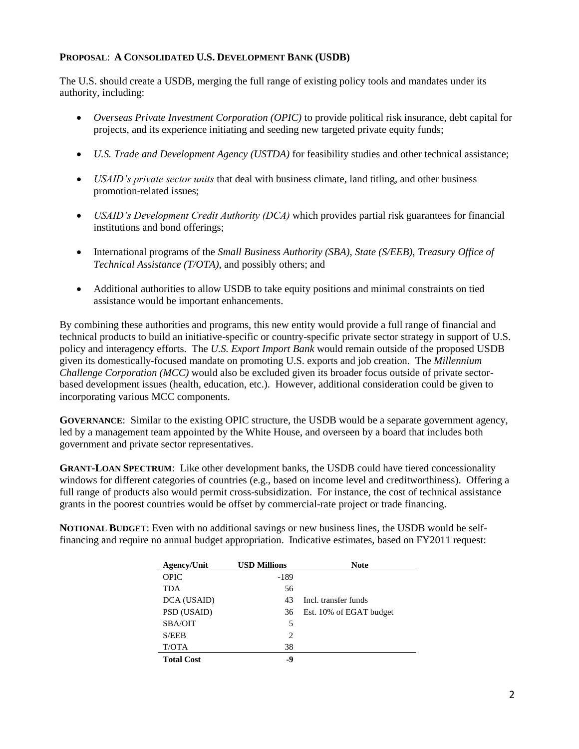## **PROPOSAL**: **A CONSOLIDATED U.S. DEVELOPMENT BANK (USDB)**

The U.S. should create a USDB, merging the full range of existing policy tools and mandates under its authority, including:

- *Overseas Private Investment Corporation (OPIC)* to provide political risk insurance, debt capital for projects, and its experience initiating and seeding new targeted private equity funds;
- *U.S. Trade and Development Agency (USTDA)* for feasibility studies and other technical assistance;
- *USAID's private sector units* that deal with business climate, land titling, and other business promotion-related issues;
- *USAID's Development Credit Authority (DCA)* which provides partial risk guarantees for financial institutions and bond offerings;
- International programs of the *Small Business Authority (SBA), State (S/EEB), Treasury Office of Technical Assistance (T/OTA)*, and possibly others; and
- Additional authorities to allow USDB to take equity positions and minimal constraints on tied assistance would be important enhancements.

By combining these authorities and programs, this new entity would provide a full range of financial and technical products to build an initiative-specific or country-specific private sector strategy in support of U.S. policy and interagency efforts. The *U.S. Export Import Bank* would remain outside of the proposed USDB given its domestically-focused mandate on promoting U.S. exports and job creation. The *Millennium Challenge Corporation (MCC)* would also be excluded given its broader focus outside of private sectorbased development issues (health, education, etc.). However, additional consideration could be given to incorporating various MCC components.

**GOVERNANCE**: Similar to the existing OPIC structure, the USDB would be a separate government agency, led by a management team appointed by the White House, and overseen by a board that includes both government and private sector representatives.

**GRANT-LOAN SPECTRUM**: Like other development banks, the USDB could have tiered concessionality windows for different categories of countries (e.g., based on income level and creditworthiness). Offering a full range of products also would permit cross-subsidization. For instance, the cost of technical assistance grants in the poorest countries would be offset by commercial-rate project or trade financing.

**NOTIONAL BUDGET**: Even with no additional savings or new business lines, the USDB would be selffinancing and require no annual budget appropriation. Indicative estimates, based on FY2011 request:

| Agency/Unit       | <b>USD Millions</b> | <b>Note</b>             |
|-------------------|---------------------|-------------------------|
| <b>OPIC</b>       | $-189$              |                         |
| <b>TDA</b>        | 56                  |                         |
| DCA (USAID)       | 43                  | Incl. transfer funds    |
| PSD (USAID)       | 36                  | Est. 10% of EGAT budget |
| SBA/OIT           | 5                   |                         |
| S/EEB             | 2                   |                         |
| T/OTA             | 38                  |                         |
| <b>Total Cost</b> | -9                  |                         |